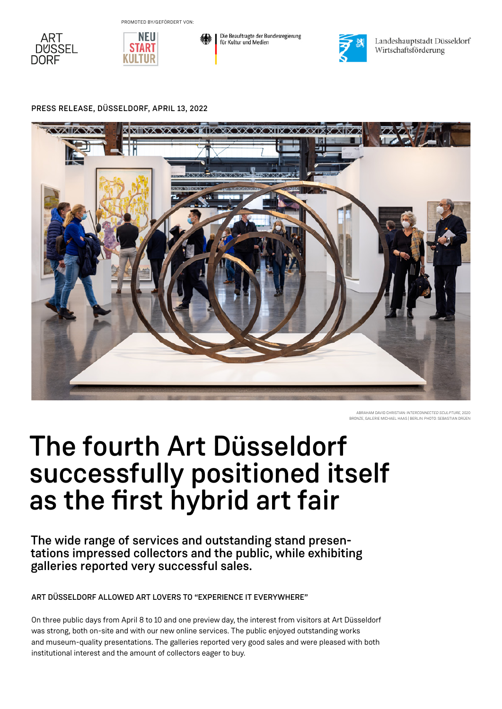







Landeshauptstadt Düsseldorf Wirtschaftsförderung

### PRESS RELEASE, DÜSSELDORF, APRIL 13, 2022



ABRAHAM DAVID CHRISTIAN: *INTERCONNECTED SCULPTURE*, 2020 BRONZE, GALERIE MICHAEL HAAS | BERLIN. PHOTO: SEBASTIAN DRÜEN

# The fourth Art Düsseldorf successfully positioned itself as the first hybrid art fair

The wide range of services and outstanding stand presentations impressed collectors and the public, while exhibiting galleries reported very successful sales.

ART DÜSSELDORF ALLOWED ART LOVERS TO "EXPERIENCE IT EVERYWHERE"

On three public days from April 8 to 10 and one preview day, the interest from visitors at Art Düsseldorf was strong, both on-site and with our new online services. The public enjoyed outstanding works and museum-quality presentations. The galleries reported very good sales and were pleased with both institutional interest and the amount of collectors eager to buy.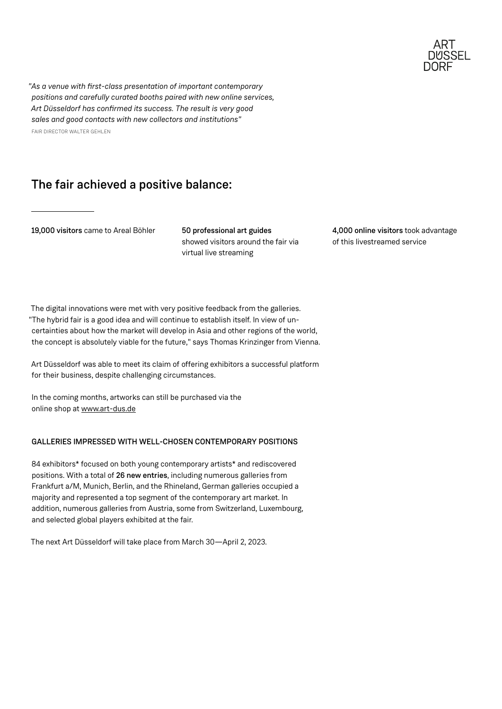

*"As a venue with first-class presentation of important contemporary positions and carefully curated booths paired with new online services, Art Düsseldorf has confirmed its success. The result is very good sales and good contacts with new collectors and institutions"* FAIR DIRECTOR WALTER GEHLEN

## The fair achieved a positive balance:

19,000 visitors came to Areal Böhler 50 professional art guides

showed visitors around the fair via virtual live streaming

4,000 online visitors took advantage of this livestreamed service

The digital innovations were met with very positive feedback from the galleries. "The hybrid fair is a good idea and will continue to establish itself. In view of uncertainties about how the market will develop in Asia and other regions of the world, the concept is absolutely viable for the future," says Thomas Krinzinger from Vienna.

Art Düsseldorf was able to meet its claim of offering exhibitors a successful platform for their business, despite challenging circumstances.

In the coming months, artworks can still be purchased via the online shop at [www.art-dus.de](http://www.art-dus.de)

### GALLERIES IMPRESSED WITH WELL-CHOSEN CONTEMPORARY POSITIONS

84 exhibitors\* focused on both young contemporary artists\* and rediscovered positions. With a total of 26 new entries, including numerous galleries from Frankfurt a/M, Munich, Berlin, and the Rhineland, German galleries occupied a majority and represented a top segment of the contemporary art market. In addition, numerous galleries from Austria, some from Switzerland, Luxembourg, and selected global players exhibited at the fair.

The next Art Düsseldorf will take place from March 30—April 2, 2023.